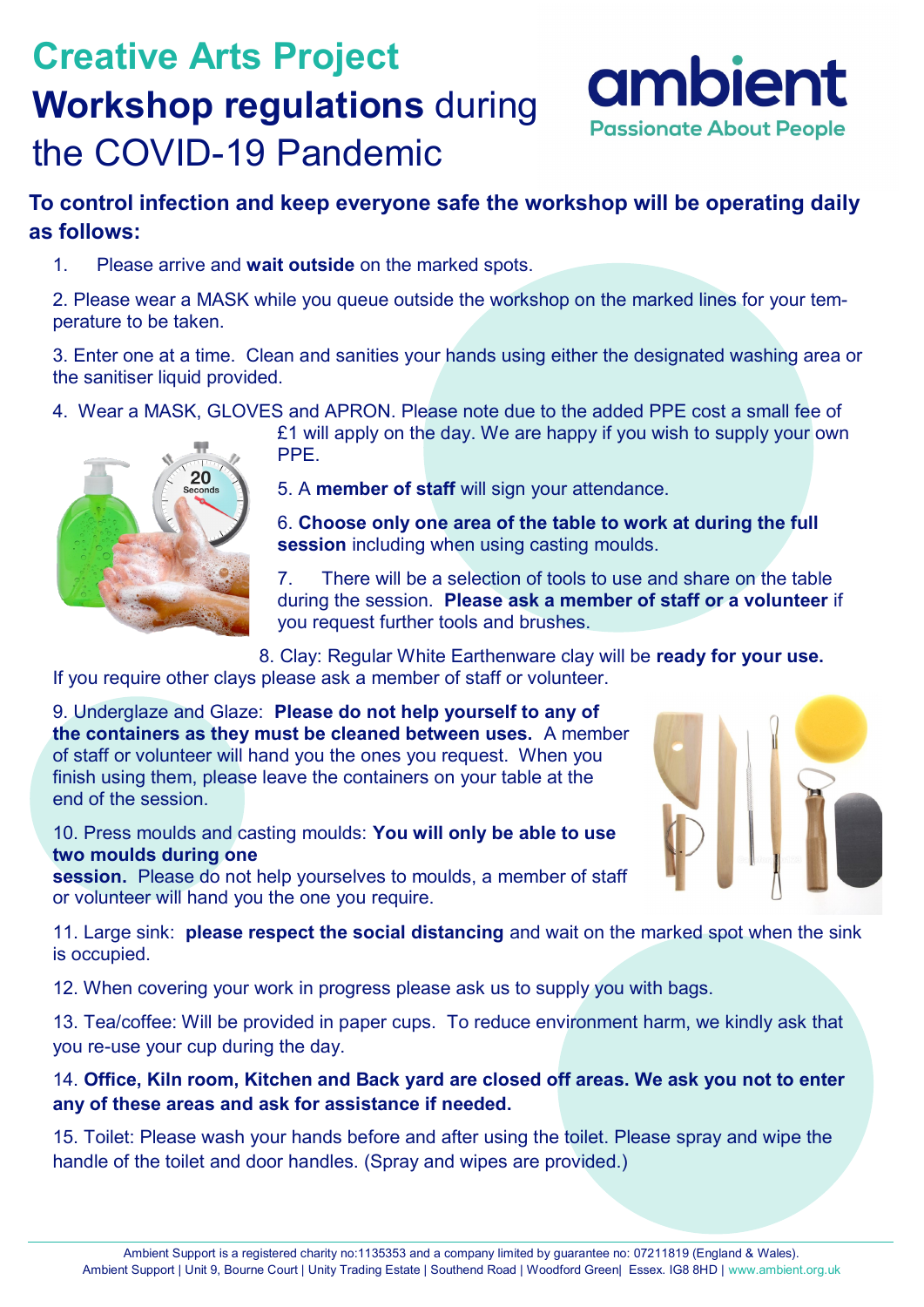# **Creative Arts Project Workshop regulations** during the COVID-19 Pandemic



### **To control infection and keep everyone safe the workshop will be operating daily as follows:**

1. Please arrive and **wait outside** on the marked spots.

2. Please wear a MASK while you queue outside the workshop on the marked lines for your temperature to be taken.

3. Enter one at a time. Clean and sanities your hands using either the designated washing area or the sanitiser liquid provided.

4. Wear a MASK, GLOVES and APRON. Please note due to the added PPE cost a small fee of



£1 will apply on the day. We are happy if you wish to supply your own PPE.

5. A **member of staff** will sign your attendance.

6. **Choose only one area of the table to work at during the full session** including when using casting moulds.

7. There will be a selection of tools to use and share on the table during the session. **Please ask a member of staff or a volunteer** if you request further tools and brushes.

8. Clay: Regular White Earthenware clay will be **ready for your use.**  If you require other clays please ask a member of staff or volunteer.

9. Underglaze and Glaze: **Please do not help yourself to any of the containers as they must be cleaned between uses.** A member of staff or volunteer will hand you the ones you request. When you finish using them, please leave the containers on your table at the end of the session.

10. Press moulds and casting moulds: **You will only be able to use two moulds during one** 

**session.** Please do not help yourselves to moulds, a member of staff or volunteer will hand you the one you require.



11. Large sink: **please respect the social distancing** and wait on the marked spot when the sink is occupied.

12. When covering your work in progress please ask us to supply you with bags.

13. Tea/coffee: Will be provided in paper cups. To reduce environment harm, we kindly ask that you re-use your cup during the day.

14. **Office, Kiln room, Kitchen and Back yard are closed off areas. We ask you not to enter any of these areas and ask for assistance if needed.**

15. Toilet: Please wash your hands before and after using the toilet. Please spray and wipe the handle of the toilet and door handles. (Spray and wipes are provided.)